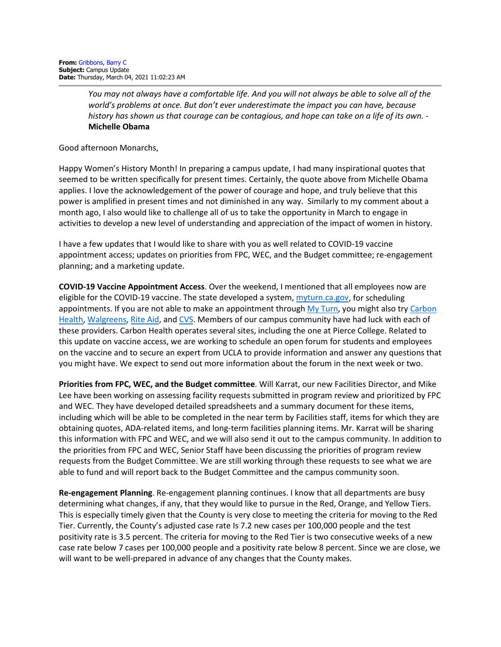*You may not always have a comfortable life. And you will not always be able to solve all of the world's problems at once. But don't ever underestimate the impact you can have, because history has shown us that courage can be contagious, and hope can take on a life of its own.* - **Michelle Obama**

Good afternoon Monarchs,

Happy Women's History Month! In preparing a campus update, I had many inspirational quotes that seemed to be written specifically for present times. Certainly, the quote above from Michelle Obama applies. I love the acknowledgement of the power of courage and hope, and truly believe that this power is amplified in present times and not diminished in any way. Similarly to my comment about a month ago, I also would like to challenge all of us to take the opportunity in March to engage in activities to develop a new level of understanding and appreciation of the impact of women in history.

I have a few updates that I would like to share with you as well related to COVID-19 vaccine appointment access; updates on priorities from FPC, WEC, and the Budget committee; re-engagement planning; and a marketing update.

**COVID-19 Vaccine Appointment Access**. Over the weekend, I mentioned that all employees now are eligible for the COVID-19 vaccine. The state developed a system, [myturn.ca.gov,](https://myturn.ca.gov/) for scheduling appointments. If you are not able to make an appointment throug[h My Turn,](https://myturn.ca.gov/) you might also try Carbon [Health,](https://carbonhealth.com/covid-19-vaccines/los-angeles) [Walgreens,](https://www.walgreens.com/findcare/vaccination/covid-19) [Rite Aid,](https://www.riteaid.com/pharmacy/covid-qualifier) and [CVS.](https://www.cvs.com/vaccine/intake/store/covid-screener/covid-qns) Members of our campus community have had luck with each of these providers. Carbon Health operates several sites, including the one at Pierce College. Related to this update on vaccine access, we are working to schedule an open forum for students and employees on the vaccine and to secure an expert from UCLA to provide information and answer any questions that you might have. We expect to send out more information about the forum in the next week or two.

**Priorities from FPC, WEC, and the Budget committee**. Will Karrat, our new Facilities Director, and Mike Lee have been working on assessing facility requests submitted in program review and prioritized by FPC and WEC. They have developed detailed spreadsheets and a summary document for these items, including which will be able to be completed in the near term by Facilities staff, items for which they are obtaining quotes, ADA-related items, and long-term facilities planning items. Mr. Karrat will be sharing this information with FPC and WEC, and we will also send it out to the campus community. In addition to the priorities from FPC and WEC, Senior Staff have been discussing the priorities of program review requests from the Budget Committee. We are still working through these requests to see what we are able to fund and will report back to the Budget Committee and the campus community soon.

**Re-engagement Planning**. Re-engagement planning continues. I know that all departments are busy determining what changes, if any, that they would like to pursue in the Red, Orange, and Yellow Tiers. This is especially timely given that the County is very close to meeting the criteria for moving to the Red Tier. Currently, the County's adjusted case rate Is 7.2 new cases per 100,000 people and the test positivity rate is 3.5 percent. The criteria for moving to the Red Tier is two consecutive weeks of a new case rate below 7 cases per 100,000 people and a positivity rate below 8 percent. Since we are close, we will want to be well-prepared in advance of any changes that the County makes.